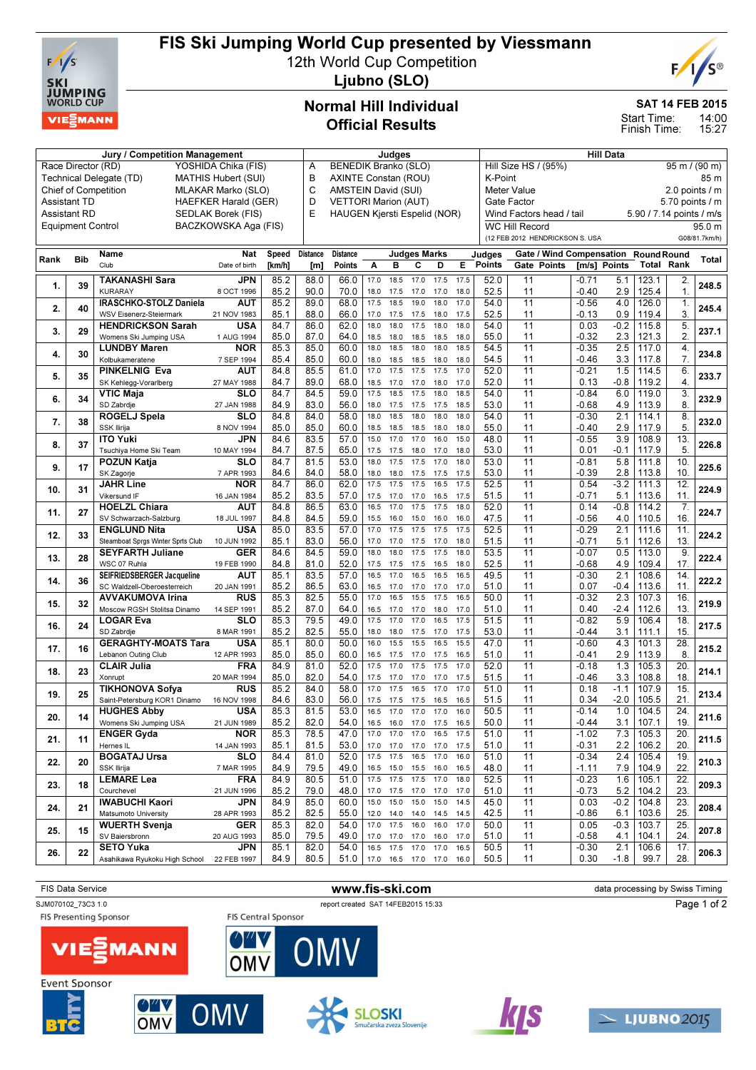

# FIS Ski Jumping World Cup presented by Viessmann

12th World Cup Competition



Ljubno (SLO)

## Normal Hill Individual Official Results

Jury / Competition Management **All Data** Judges **Hill Data** Hill Data

### SAT 14 FEB 2015

14:00 15:27 Start Time: Finish Time:

| Race Director (RD)<br>YOSHIDA Chika (FIS) |                                                       |                                           |                      |        |                                                                                   | BENEDIK Branko (SLO)<br>Hill Size HS / (95%)<br>$95 \text{ m}$ / (90 m)<br>Α |                                                 |                |                        |                              |      |                  |                 |                                 |                          |                  |                                         |                  |                 |
|-------------------------------------------|-------------------------------------------------------|-------------------------------------------|----------------------|--------|-----------------------------------------------------------------------------------|------------------------------------------------------------------------------|-------------------------------------------------|----------------|------------------------|------------------------------|------|------------------|-----------------|---------------------------------|--------------------------|------------------|-----------------------------------------|------------------|-----------------|
|                                           | Technical Delegate (TD)<br><b>MATHIS Hubert (SUI)</b> |                                           |                      |        |                                                                                   | В<br>AXINTE Constan (ROU)                                                    |                                                 |                |                        |                              |      |                  | K-Point<br>85 m |                                 |                          |                  |                                         |                  |                 |
|                                           | <b>Chief of Competition</b><br>MLAKAR Marko (SLO)     |                                           |                      |        | C                                                                                 | AMSTEIN David (SUI)<br><b>Meter Value</b>                                    |                                                 |                |                        |                              |      |                  |                 |                                 | 2.0 points / m           |                  |                                         |                  |                 |
|                                           | <b>Assistant TD</b><br><b>HAEFKER Harald (GER)</b>    |                                           |                      |        |                                                                                   |                                                                              | D<br><b>VETTORI Marion (AUT)</b><br>Gate Factor |                |                        |                              |      |                  |                 |                                 |                          |                  |                                         |                  | 5.70 points / m |
| <b>Assistant RD</b><br>SEDLAK Borek (FIS) |                                                       |                                           |                      | E      | HAUGEN Kjersti Espelid (NOR)<br>Wind Factors head / tail<br><b>WC Hill Record</b> |                                                                              |                                                 |                |                        |                              |      |                  |                 | 5.90 / 7.14 points / m/s        |                          |                  |                                         |                  |                 |
|                                           | <b>Equipment Control</b>                              |                                           | BACZKOWSKA Aga (FIS) |        |                                                                                   |                                                                              |                                                 |                |                        |                              |      |                  |                 |                                 |                          |                  |                                         |                  | 95.0 m          |
|                                           |                                                       |                                           |                      |        |                                                                                   |                                                                              |                                                 |                |                        |                              |      |                  |                 | (12 FEB 2012 HENDRICKSON S. USA |                          |                  |                                         |                  | G08/81.7km/h)   |
|                                           |                                                       |                                           |                      |        |                                                                                   |                                                                              |                                                 |                |                        |                              |      |                  |                 |                                 |                          |                  |                                         |                  |                 |
| Rank                                      | <b>Bib</b>                                            | Name<br>Club                              | Nat                  | Speed  | <b>Distance</b>                                                                   | <b>Distance</b>                                                              |                                                 |                | <b>Judges Marks</b>    |                              |      | Judges<br>Points |                 |                                 | Gate / Wind Compensation |                  | <b>Round Round</b><br><b>Total Rank</b> |                  | Total           |
|                                           |                                                       |                                           | Date of birth        | [km/h] | [m]                                                                               | Points                                                                       | Α                                               | в              | С                      | D                            | E.   |                  |                 | Gate Points                     | [m/s] Points             |                  |                                         |                  |                 |
| 1.                                        | 39                                                    | TAKANASHI Sara                            | JPN                  | 85.2   | 88.0                                                                              | 66.0                                                                         | 17.0                                            | 18.5           | 17.0                   | 17.5                         | 17.5 | 52.0             | 11              |                                 | $-0.71$                  | 5.1              | 123.1                                   | 2.               | 248.5           |
|                                           |                                                       | <b>KURARAY</b>                            | 8 OCT 1996           | 85.2   | 90.0                                                                              | 70.0                                                                         | 18.0                                            | 17.5           | 17.0                   | 17.0                         | 18.0 | 52.5             | 11              |                                 | $-0.40$                  | 2.9              | 125.4                                   | $\mathbf{1}$ .   |                 |
| 2.                                        | 40                                                    | IRASCHKO-STOLZ Daniela                    | AUT                  | 85.2   | 89.0                                                                              | 68.0                                                                         | 17.5                                            | 18.5           | 19.0                   | 18.0                         | 17.0 | 54.0             | 11              |                                 | $-0.56$                  | 4.0              | 126.0                                   | 1.               | 245.4           |
|                                           |                                                       | WSV Eisenerz-Steiermark                   | 21 NOV 1983          | 85.1   | 88.0                                                                              | 66.0                                                                         | 17.0                                            | 17.5           | 17.5                   | 18.0                         | 17.5 | 52.5             | 11              |                                 | $-0.13$                  | 0.9              | 119.4                                   | 3.               |                 |
| 3.                                        | 29                                                    | <b>HENDRICKSON Sarah</b>                  | USA                  | 84.7   | 86.0                                                                              | 62.0                                                                         | 18.0                                            | 18.0           | 17.5                   | 18.0                         | 18.0 | 54.0             | 11              |                                 | 0.03                     | $-0.2$           | 115.8                                   | 5.               | 237.1           |
|                                           |                                                       | Womens Ski Jumping USA                    | 1 AUG 1994           | 85.0   | 87.0                                                                              | 64.0                                                                         | 18.5                                            | 18.0           | 18.5                   | 18.5                         | 18.0 | 55.0             | 11              |                                 | $-0.32$                  | 2.3              | 121.3                                   | 2                |                 |
| 4.                                        | 30                                                    | <b>LUNDBY Maren</b>                       | <b>NOR</b>           | 85.3   | 85.0                                                                              | 60.0                                                                         | 18.0                                            | 18.5           | 18.0                   | 18.0                         | 18.5 | 54.5             | 11              |                                 | $-0.35$                  | 2.5              | 117.0                                   | $\overline{4}$ . | 234.8           |
|                                           |                                                       | Kolbukameratene                           | 7 SEP 1994           | 85.4   | 85.0                                                                              | 60.0                                                                         | 18.0                                            | 18.5           | 18.5                   | 18.0                         | 18.0 | 54.5             | 11              |                                 | $-0.46$                  | 3.3              | 117.8                                   | 7.               |                 |
| 5.                                        |                                                       | PINKELNIG Eva                             | AUT                  | 84.8   | 85.5                                                                              | 61.0                                                                         | 17.0                                            | 17.5           | 17.5                   | 17.5                         | 17.0 | 52.0             | 11              |                                 | $-0.21$                  | 1.5              | 114.5                                   | 6.               | 233.7           |
|                                           | 35                                                    | SK Kehlegg-Vorarlberg                     | 27 MAY 1988          | 84.7   | 89.0                                                                              | 68.0                                                                         | 18.5                                            | 17.0           | 17.0                   | 18.0                         | 17.0 | 52.0             | 11              |                                 | 0.13                     | $-0.8$           | 119.2                                   | $\overline{4}$ . |                 |
|                                           |                                                       | <b>VTIC Maja</b>                          | SLO                  | 84.7   | 84.5                                                                              | 59.0                                                                         | 17.5                                            | 18.5           | 17.5                   | 18.0                         | 18.5 | 54.0             | $\overline{11}$ |                                 | $-0.84$                  | 6.0              | 119.0                                   | 3.               |                 |
| 6.                                        | 34                                                    | SD Zabrdje                                | 27 JAN 1988          | 84.9   | 83.0                                                                              | 56.0                                                                         | 18.0                                            | 17.5           | 17.5                   | 17.5                         | 18.5 | 53.0             | 11              |                                 | $-0.68$                  | 4.9              | 113.9                                   | 8.               | 232.9           |
|                                           |                                                       | ROGELJ Spela                              | SLO                  | 84.8   | 84.0                                                                              | 58.0                                                                         | 18.0                                            | 18.5           | 18.0                   | 18.0                         | 18.0 | 54.0             | 11              |                                 | $-0.30$                  | 2.1              | 114.1                                   | 8.               |                 |
| 7.                                        | 38                                                    | SSK Ilirija                               | 8 NOV 1994           | 85.0   | 85.0                                                                              | 60.0                                                                         | 18.5                                            | 18.5           | 18.5                   | 18.0                         | 18.0 | 55.0             | 11              |                                 | $-0.40$                  | 2.9              | 117.9                                   | 5                | 232.0           |
|                                           |                                                       | <b>ITO Yuki</b>                           | JPN                  | 84.6   | 83.5                                                                              | 57.0                                                                         | 15.0                                            | 17.0           | 17.0                   | 16.0                         | 15.0 | 48.0             | 11              |                                 | $-0.55$                  | 3.9              | 108.9                                   | 13.              |                 |
| 8.                                        | 37                                                    | Tsuchiya Home Ski Team                    | 10 MAY 1994          | 84.7   | 87.5                                                                              | 65.0                                                                         | 17.5                                            | 17.5           | 18.0                   | 17.0                         | 18.0 | 53.0             | 11              |                                 | 0.01                     | $-0.1$           | 117.9                                   | 5.               | 226.8           |
|                                           |                                                       | POZUN Katja                               | SLO                  | 84.7   | 81.5                                                                              | 53.0                                                                         | 18.0                                            | 17.5           | 17.5                   | 17.0                         | 18.0 | 53.0             | 11              |                                 | $-0.81$                  | 5.8              | 111.8                                   | 10.              |                 |
| 9.                                        | 17                                                    | SK Zagorje                                | 7 APR 1993           | 84.6   | 84.0                                                                              | 58.0                                                                         | 18.0                                            | 18.0           | 17.5                   | 17.5                         | 17.5 | 53.0             | 11              |                                 | $-0.39$                  | 2.8              | 113.8                                   | 10.              | 225.6           |
|                                           |                                                       | <b>JAHR Line</b>                          | <b>NOR</b>           | 84.7   | 86.0                                                                              | 62.0                                                                         | 17.5                                            | 17.5           | 17.5                   | 16.5                         | 17.5 | 52.5             | 11              |                                 | 0.54                     | $-3.2$           | 111.3                                   | 12.              |                 |
| 10.                                       | 31                                                    | Vikersund IF                              | 16 JAN 1984          | 85.2   | 83.5                                                                              | 57.0                                                                         | 17.5                                            | 17.0           | 17.0                   | 16.5                         | 17.5 | 51.5             | 11              |                                 | $-0.71$                  | 5.1              | 113.6                                   | 11.              | 224.9           |
|                                           |                                                       | <b>HOELZL Chiara</b>                      | AUT                  | 84.8   | 86.5                                                                              | 63.0                                                                         | 16.5                                            | 17.0           | 17.5                   | 17.5                         | 18.0 | 52.0             | 11              |                                 | 0.14                     | $-0.8$           | 114.2                                   | 7.               |                 |
| 11.                                       | 27                                                    | SV Schwarzach-Salzburg                    | 18 JUL 1997          | 84.8   | 84.5                                                                              | 59.0                                                                         | 15.5                                            | 16.0           | 15.0                   | 16.0                         | 16.0 | 47.5             | 11              |                                 | $-0.56$                  | 4.0              | 110.5                                   | 16               | 224.7           |
|                                           |                                                       | <b>ENGLUND Nita</b>                       | USA                  | 85.0   | 83.5                                                                              | 57.0                                                                         | 17.0                                            | 17.5           | 17.5                   | 17.5                         | 17.5 | 52.5             | 11              |                                 | $-0.29$                  | 2.1              | 111.6                                   | 11.              |                 |
| 12.                                       | 33                                                    | Steamboat Sprgs Winter Sprts Club         | 10 JUN 1992          | 85.1   | 83.0                                                                              | 56.0                                                                         | 17.0                                            | 17.0           | 17.5                   | 17.0                         | 18.0 | 51.5             | 11              |                                 | $-0.71$                  | 5.1              | 112.6                                   | 13.              | 224.2           |
|                                           |                                                       | <b>SEYFARTH Juliane</b>                   | GER                  | 84.6   | 84.5                                                                              | 59.0                                                                         | 18.0                                            | 18.0           | 17.5                   | 17.5                         | 18.0 | 53.5             | 11              |                                 | $-0.07$                  | 0.5              | 113.0                                   | 9.               |                 |
| 13.                                       | 28                                                    | WSC 07 Ruhla                              | 19 FEB 1990          | 84.8   | 81.0                                                                              | 52.0                                                                         | 17.5                                            | 17.5           | 17.5                   | 16.5                         | 18.0 | 52.5             | 11              |                                 | $-0.68$                  | 4.9              | 109.4                                   | 17.              | 222.4           |
|                                           |                                                       | SEIFRIEDSBERGER Jacqueline                | AUT                  | 85.1   | 83.5                                                                              | 57.0                                                                         | 16.5                                            | 17.0           | 16.5                   | 16.5                         | 16.5 | 49.5             | 11              |                                 | $-0.30$                  | 2.1              | 108.6                                   | 14.              |                 |
| 14.                                       | 36                                                    | SC Waldzell-Oberoesterreich               | 20 JAN 1991          | 85.2   | 86.5                                                                              | 63.0                                                                         | 16.5                                            | 17.0           | 17.0                   | 17.0                         | 17.0 | 51.0             | 11              |                                 | 0.07                     | $-0.4$           | 113.6                                   | 11.              | 222.2           |
|                                           |                                                       | <b>AVVAKUMOVA Irina</b>                   | RUS                  | 85.3   | 82.5                                                                              | 55.0                                                                         | 17.0                                            | 16.5           | 15.5                   | 17.5                         | 16.5 | 50.0             | 11              |                                 | $-0.32$                  | 2.3              | 107.3                                   | 16.              |                 |
| 15.                                       | 32                                                    | Moscow RGSH Stolitsa Dinamo               | 14 SEP 1991          | 85.2   | 87.0                                                                              | 64.0                                                                         | 16.5                                            | 17.0           | 17.0                   | 18.0                         | 17.0 | 51.0             | 11              |                                 | 0.40                     | $-2.4$           | 112.6                                   | 13.              | 219.9           |
|                                           |                                                       | <b>LOGAR Eva</b>                          | <b>SLO</b>           | 85.3   | 79.5                                                                              | 49.0                                                                         | 17.5                                            | 17.0           | 17.0                   | 16.5                         | 17.5 | 51.5             | 11              |                                 | $-0.82$                  | $\overline{5.9}$ | 106.4                                   | 18.              |                 |
| 16.                                       | 24                                                    | SD Zabrdje                                | 8 MAR 1991           | 85.2   | 82.5                                                                              | 55.0                                                                         | 18.0                                            | 18.0           | 17.5                   | 17.0                         | 17.5 | 53.0             | 11              |                                 | -0.44                    | 3.1              | 111.1                                   | 15               | 217.5           |
|                                           |                                                       | <b>GERAGHTY-MOATS Tara</b>                | <b>USA</b>           | 85.1   | 80.0                                                                              | 50.0                                                                         | 16.0                                            | 15.5           | 15.5                   | 16.5                         | 15.5 | 47.0             | 11              |                                 | $-0.60$                  | 4.3              | 101.3                                   | 28               |                 |
| 17.                                       | 16                                                    | Lebanon Outing Club                       | 12 APR 1993          | 85.0   | 85.0                                                                              | 60.0                                                                         | 16.5                                            | 17.5           | 17.0                   | 17.5                         | 16.5 | 51.0             | 11              |                                 | -0.41                    | 2.9              | 113.9                                   | 8                | 215.2           |
|                                           |                                                       | <b>CLAIR Julia</b>                        | <b>FRA</b>           | 84.9   | 81.0                                                                              | 52.0                                                                         | 17.5                                            | 17.0           | 17.5                   | 17.5                         | 17.0 | 52.0             | 11              |                                 | $-0.18$                  | 1.3              | 105.3                                   | $\overline{20}$  |                 |
| 18.                                       | 23                                                    | Xonrupt                                   | 20 MAR 1994          | 85.0   | 82.0                                                                              | 54.0                                                                         | 17.5                                            | 17.0           |                        | 17.0                         | 17.5 | 51.5             | 11              |                                 | -0.46                    | 3.3              | 108.8                                   | 18               | 214.1           |
|                                           |                                                       | <b>TIKHONOVA Sofya</b>                    | <b>RUS</b>           | 85.2   | 84.0                                                                              | 58.0                                                                         | 17.0                                            | 17.5           | 17.0<br>16.5           | 17.0                         | 17.0 | 51.0             | 11              |                                 | 0.18                     | $-1.1$           | 107.9                                   | 15               |                 |
| 19.                                       | 25                                                    | Saint-Petersburg KOR1 Dinamo              | 16 NOV 1998          | 84.6   | 83.0                                                                              | 56.0                                                                         | 17.5                                            | 17.5           | 17.5                   | 16.5                         | 16.5 | 51.5             | 11              |                                 | 0.34                     | $-2.0$           | 105.5                                   | 21.              | 213.4           |
|                                           |                                                       |                                           | <b>USA</b>           | 85.3   | 81.5                                                                              | 53.0                                                                         | 16.5                                            | 17.0           | 17.0                   | 17.0                         | 16.0 | 50.5             | 11              |                                 | $-0.14$                  | 1.0              | 104.5                                   | 24.              |                 |
| 20.                                       | 14                                                    | <b>HUGHES Abby</b>                        |                      |        |                                                                                   | 54.0                                                                         |                                                 |                |                        |                              |      |                  |                 |                                 |                          |                  |                                         | 19.              | 211.6           |
|                                           |                                                       | Womens Ski Jumping USA                    | 21 JUN 1989          | 85.2   | 82.0                                                                              |                                                                              |                                                 | 16.5 16.0 17.0 |                        | 17.5                         | 16.5 | 50.0             | 11              |                                 | -0.44                    | 3.1              | 107.1                                   |                  |                 |
| 21.                                       | 11                                                    | <b>ENGER Gyda</b>                         | <b>NOR</b>           | 85.3   | 78.5                                                                              | 47.0                                                                         | 17.0                                            | 17.0           | 17.0                   | 16.5                         | 17.5 | 51.0             | 11              |                                 | $-1.02$                  |                  | $7.3$ 105.3                             | $\overline{20}$  | 211.5           |
|                                           |                                                       | Hernes IL                                 | 14 JAN 1993          | 85.1   | 81.5                                                                              | 53.0                                                                         |                                                 |                |                        | 17.0 17.0 17.0 17.0 17.5     |      | 51.0             | 11              |                                 | $-0.31$                  |                  | 2.2 106.2                               | 20.              |                 |
| 22.                                       | 20                                                    | <b>BOGATAJ Ursa</b>                       | <b>SLO</b>           | 84.4   | 81.0                                                                              | 52.0                                                                         | 17.5                                            | 17.5           | 16.5                   | 17.0                         | 16.0 | 51.0             | 11              |                                 | $-0.34$                  | 2.4              | 105.4                                   | 19.              | 210.3           |
|                                           |                                                       | SSK Ilirija                               | 7 MAR 1995           | 84.9   | 79.5                                                                              | 49.0                                                                         |                                                 |                | 16.5 15.0 15.5 16.0    |                              | 16.5 | 48.0             | 11              |                                 | $-1.11$                  |                  | 7.9 104.9                               | 22.              |                 |
| 23.                                       | 18                                                    | <b>LEMARE Lea</b>                         | <b>FRA</b>           | 84.9   | 80.5                                                                              | 51.0                                                                         | 17.5                                            | 17.5           | 17.5                   | 17.0                         | 18.0 | 52.5             | 11              |                                 | $-0.23$                  |                  | $1.6$   105.1                           | 22.              | 209.3           |
|                                           |                                                       | Courchevel                                | 21 JUN 1996          | 85.2   | 79.0                                                                              | 48.0                                                                         |                                                 |                | 17.0  17.5  17.0  17.0 |                              | 17.0 | 51.0             | 11              |                                 | $-0.73$                  |                  | $5.2$   104.2                           | 23.              |                 |
| 24.                                       | 21                                                    | <b>IWABUCHI Kaori</b>                     | <b>JPN</b>           | 84.9   | 85.0                                                                              | 60.0                                                                         | 15.0                                            | 15.0           | 15.0                   | 15.0                         | 14.5 | 45.0             | 11              |                                 | 0.03                     |                  | $-0.2$ 104.8                            | 23.              | 208.4           |
|                                           |                                                       | Matsumoto University                      | 28 APR 1993          | 85.2   | 82.5                                                                              | 55.0                                                                         |                                                 |                | 12.0 14.0 14.0 14.5    |                              | 14.5 | 42.5             | 11              |                                 | $-0.86$                  |                  | $6.1$   103.6                           | 25.              |                 |
| 25.                                       | 15                                                    | <b>WUERTH Svenja</b>                      | <b>GER</b>           | 85.3   | 82.0                                                                              | 54.0                                                                         | 17.0                                            | 17.5           | 16.0                   | 16.0                         | 17.0 | 50.0             | 11              |                                 | 0.05                     |                  | $-0.3$   103.7                          | 25.              | 207.8           |
|                                           |                                                       | SV Baiersbronn                            | 20 AUG 1993          | 85.0   | 79.5                                                                              | 49.0                                                                         |                                                 |                | 17.0 17.0 17.0 16.0    |                              | 17.0 | 51.0             | 11              |                                 | $-0.58$                  |                  | $4.1$   104.1                           | 24.              |                 |
| 26.                                       | 22                                                    | <b>SETO Yuka</b>                          | JPN                  | 85.1   | 82.0                                                                              | 54.0                                                                         |                                                 | 16.5 17.5 17.0 |                        | 17.0                         | 16.5 | 50.5             | 11              |                                 | $-0.30$                  |                  | $2.1$   106.6                           | 17.              | 206.3           |
|                                           |                                                       | Asahikawa Ryukoku High School 22 FEB 1997 |                      | 84.9   | 80.5                                                                              | 51.0                                                                         |                                                 |                |                        | 17.0  16.5  17.0  17.0  16.0 |      | 50.5             | 11              |                                 | 0.30                     | -1.8             | 99.7                                    | 28.              |                 |